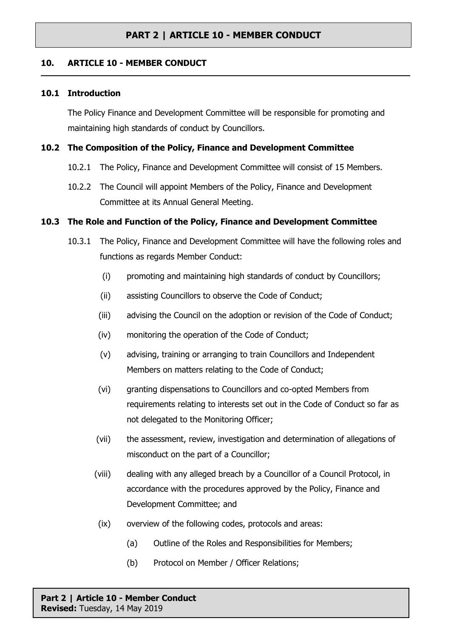## **10. ARTICLE 10 - MEMBER CONDUCT**

#### **10.1 Introduction**

The Policy Finance and Development Committee will be responsible for promoting and maintaining high standards of conduct by Councillors.

#### **10.2 The Composition of the Policy, Finance and Development Committee**

- 10.2.1 The Policy, Finance and Development Committee will consist of 15 Members.
- 10.2.2 The Council will appoint Members of the Policy, Finance and Development Committee at its Annual General Meeting.

## **10.3 The Role and Function of the Policy, Finance and Development Committee**

- 10.3.1 The Policy, Finance and Development Committee will have the following roles and functions as regards Member Conduct:
	- (i) promoting and maintaining high standards of conduct by Councillors;
	- (ii) assisting Councillors to observe the Code of Conduct;
	- (iii) advising the Council on the adoption or revision of the Code of Conduct;
	- (iv) monitoring the operation of the Code of Conduct;
	- (v) advising, training or arranging to train Councillors and Independent Members on matters relating to the Code of Conduct;
	- (vi) granting dispensations to Councillors and co-opted Members from requirements relating to interests set out in the Code of Conduct so far as not delegated to the Monitoring Officer;
	- (vii) the assessment, review, investigation and determination of allegations of misconduct on the part of a Councillor;
	- (viii) dealing with any alleged breach by a Councillor of a Council Protocol, in accordance with the procedures approved by the Policy, Finance and Development Committee; and
	- (ix) overview of the following codes, protocols and areas:
		- (a) Outline of the Roles and Responsibilities for Members;
		- (b) Protocol on Member / Officer Relations;